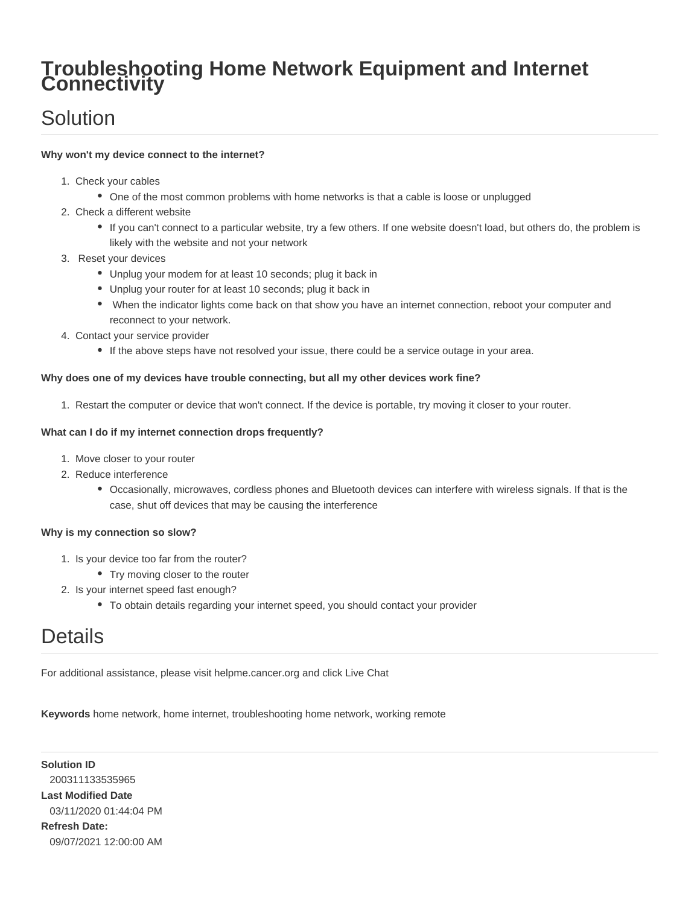## **Troubleshooting Home Network Equipment and Internet Connectivity**

# Solution

### **Why won't my device connect to the internet?**

- 1. Check your cables
	- One of the most common problems with home networks is that a cable is loose or unplugged
- 2. Check a different website
	- If you can't connect to a particular website, try a few others. If one website doesn't load, but others do, the problem is likely with the website and not your network
- 3. Reset your devices
	- Unplug your modem for at least 10 seconds; plug it back in
	- Unplug your router for at least 10 seconds; plug it back in
	- When the indicator lights come back on that show you have an internet connection, reboot your computer and reconnect to your network.
- 4. Contact your service provider
	- If the above steps have not resolved your issue, there could be a service outage in your area.

#### **Why does one of my devices have trouble connecting, but all my other devices work fine?**

1. Restart the computer or device that won't connect. If the device is portable, try moving it closer to your router.

#### **What can I do if my internet connection drops frequently?**

- 1. Move closer to your router
- 2. Reduce interference
	- Occasionally, microwaves, cordless phones and Bluetooth devices can interfere with wireless signals. If that is the case, shut off devices that may be causing the interference

#### **Why is my connection so slow?**

- 1. Is your device too far from the router?
	- Try moving closer to the router
- 2. Is your internet speed fast enough?
	- To obtain details regarding your internet speed, you should contact your provider

# **Details**

For additional assistance, please visit helpme.cancer.org and click Live Chat

**Keywords** home network, home internet, troubleshooting home network, working remote

**Solution ID** 200311133535965 **Last Modified Date** 03/11/2020 01:44:04 PM **Refresh Date:** 09/07/2021 12:00:00 AM